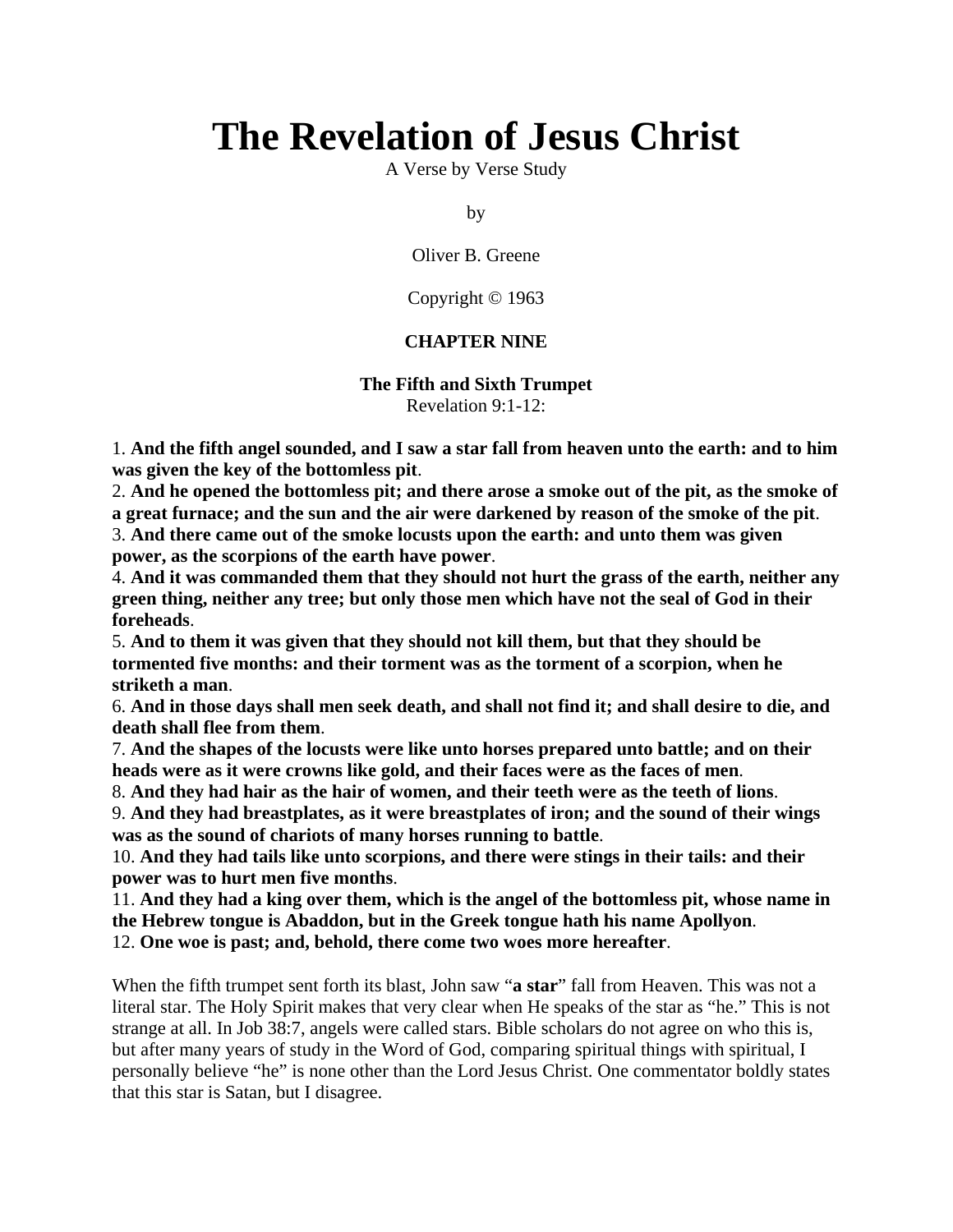# **The Revelation of Jesus Christ**

A Verse by Verse Study

by

Oliver B. Greene

Copyright © 1963

#### **CHAPTER NINE**

# **The Fifth and Sixth Trumpet**

Revelation 9:1-12:

1. **And the fifth angel sounded, and I saw a star fall from heaven unto the earth: and to him was given the key of the bottomless pit**.

2. **And he opened the bottomless pit; and there arose a smoke out of the pit, as the smoke of a great furnace; and the sun and the air were darkened by reason of the smoke of the pit**. 3. **And there came out of the smoke locusts upon the earth: and unto them was given power, as the scorpions of the earth have power**.

4. **And it was commanded them that they should not hurt the grass of the earth, neither any green thing, neither any tree; but only those men which have not the seal of God in their foreheads**.

5. **And to them it was given that they should not kill them, but that they should be tormented five months: and their torment was as the torment of a scorpion, when he striketh a man**.

6. **And in those days shall men seek death, and shall not find it; and shall desire to die, and death shall flee from them**.

7. **And the shapes of the locusts were like unto horses prepared unto battle; and on their heads were as it were crowns like gold, and their faces were as the faces of men**.

8. **And they had hair as the hair of women, and their teeth were as the teeth of lions**.

9. **And they had breastplates, as it were breastplates of iron; and the sound of their wings was as the sound of chariots of many horses running to battle**.

10. **And they had tails like unto scorpions, and there were stings in their tails: and their power was to hurt men five months**.

11. **And they had a king over them, which is the angel of the bottomless pit, whose name in the Hebrew tongue is Abaddon, but in the Greek tongue hath his name Apollyon**. 12. **One woe is past; and, behold, there come two woes more hereafter**.

When the fifth trumpet sent forth its blast, John saw "**a star**" fall from Heaven. This was not a literal star. The Holy Spirit makes that very clear when He speaks of the star as "he." This is not strange at all. In Job 38:7, angels were called stars. Bible scholars do not agree on who this is, but after many years of study in the Word of God, comparing spiritual things with spiritual, I personally believe "he" is none other than the Lord Jesus Christ. One commentator boldly states that this star is Satan, but I disagree.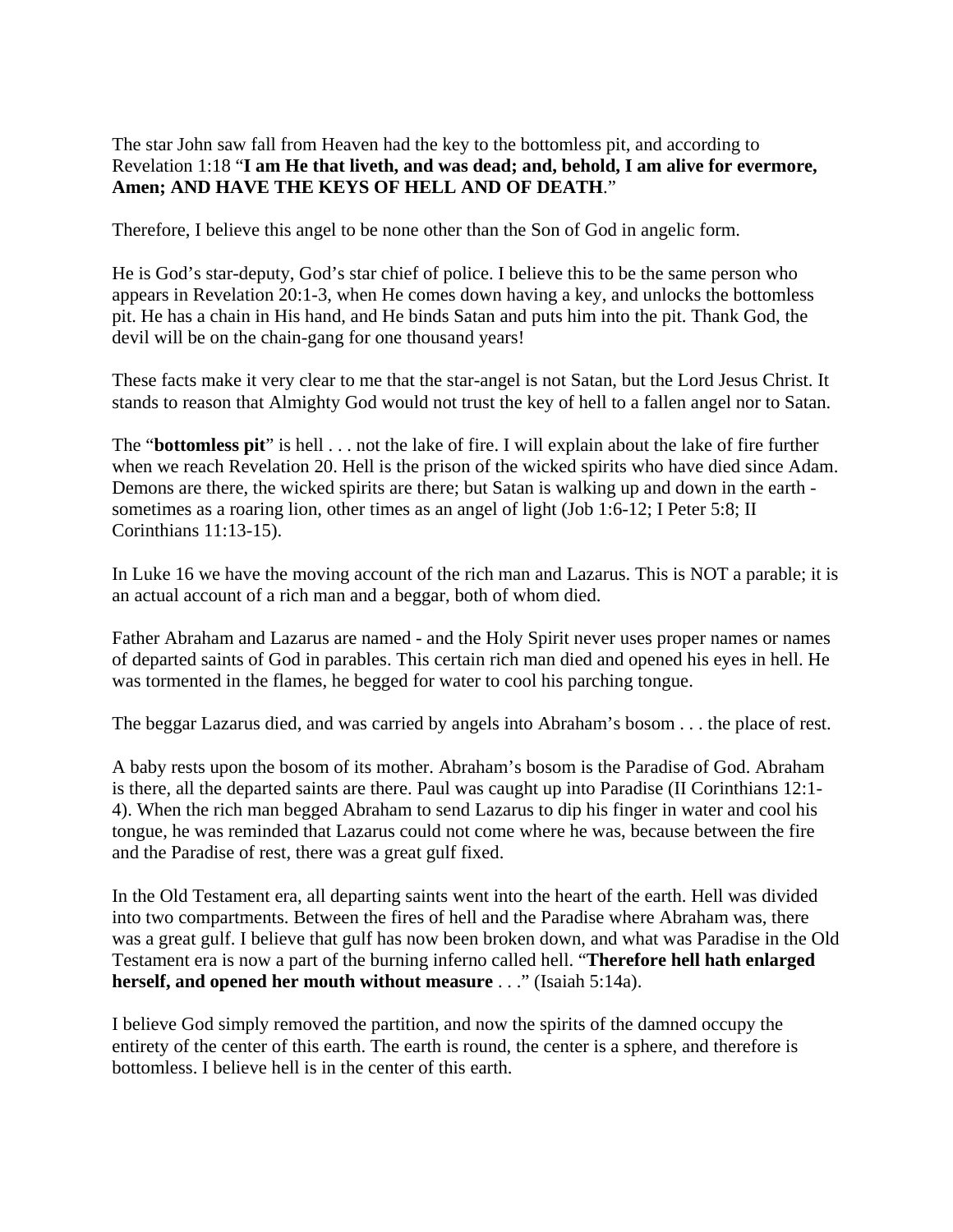The star John saw fall from Heaven had the key to the bottomless pit, and according to Revelation 1:18 "**I am He that liveth, and was dead; and, behold, I am alive for evermore, Amen; AND HAVE THE KEYS OF HELL AND OF DEATH**."

Therefore, I believe this angel to be none other than the Son of God in angelic form.

He is God's star-deputy, God's star chief of police. I believe this to be the same person who appears in Revelation 20:1-3, when He comes down having a key, and unlocks the bottomless pit. He has a chain in His hand, and He binds Satan and puts him into the pit. Thank God, the devil will be on the chain-gang for one thousand years!

These facts make it very clear to me that the star-angel is not Satan, but the Lord Jesus Christ. It stands to reason that Almighty God would not trust the key of hell to a fallen angel nor to Satan.

The "**bottomless pit**" is hell . . . not the lake of fire. I will explain about the lake of fire further when we reach Revelation 20. Hell is the prison of the wicked spirits who have died since Adam. Demons are there, the wicked spirits are there; but Satan is walking up and down in the earth sometimes as a roaring lion, other times as an angel of light (Job 1:6-12; I Peter 5:8; II Corinthians 11:13-15).

In Luke 16 we have the moving account of the rich man and Lazarus. This is NOT a parable; it is an actual account of a rich man and a beggar, both of whom died.

Father Abraham and Lazarus are named - and the Holy Spirit never uses proper names or names of departed saints of God in parables. This certain rich man died and opened his eyes in hell. He was tormented in the flames, he begged for water to cool his parching tongue.

The beggar Lazarus died, and was carried by angels into Abraham's bosom . . . the place of rest.

A baby rests upon the bosom of its mother. Abraham's bosom is the Paradise of God. Abraham is there, all the departed saints are there. Paul was caught up into Paradise (II Corinthians 12:1- 4). When the rich man begged Abraham to send Lazarus to dip his finger in water and cool his tongue, he was reminded that Lazarus could not come where he was, because between the fire and the Paradise of rest, there was a great gulf fixed.

In the Old Testament era, all departing saints went into the heart of the earth. Hell was divided into two compartments. Between the fires of hell and the Paradise where Abraham was, there was a great gulf. I believe that gulf has now been broken down, and what was Paradise in the Old Testament era is now a part of the burning inferno called hell. "**Therefore hell hath enlarged herself, and opened her mouth without measure** . . ." (Isaiah 5:14a).

I believe God simply removed the partition, and now the spirits of the damned occupy the entirety of the center of this earth. The earth is round, the center is a sphere, and therefore is bottomless. I believe hell is in the center of this earth.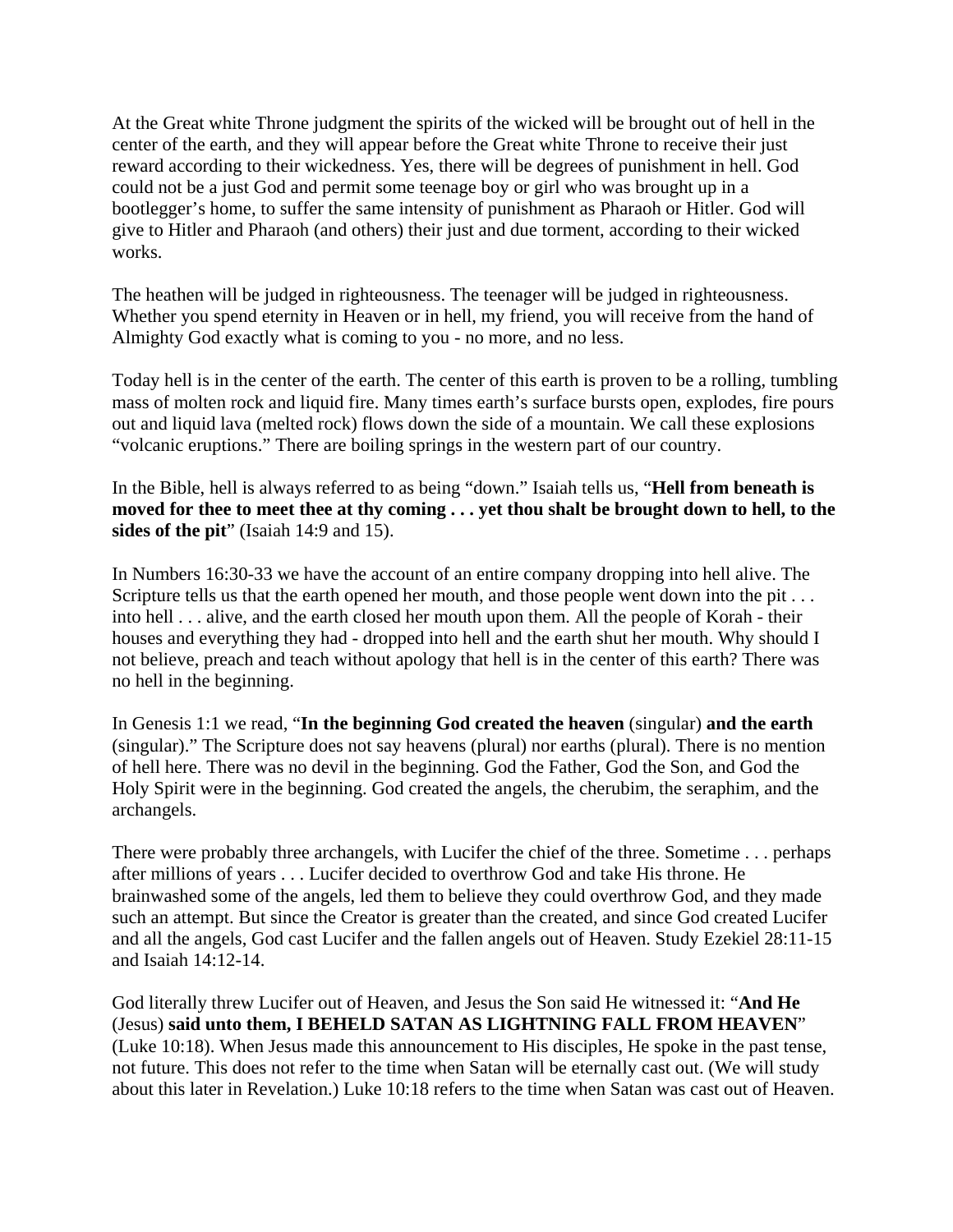At the Great white Throne judgment the spirits of the wicked will be brought out of hell in the center of the earth, and they will appear before the Great white Throne to receive their just reward according to their wickedness. Yes, there will be degrees of punishment in hell. God could not be a just God and permit some teenage boy or girl who was brought up in a bootlegger's home, to suffer the same intensity of punishment as Pharaoh or Hitler. God will give to Hitler and Pharaoh (and others) their just and due torment, according to their wicked works.

The heathen will be judged in righteousness. The teenager will be judged in righteousness. Whether you spend eternity in Heaven or in hell, my friend, you will receive from the hand of Almighty God exactly what is coming to you - no more, and no less.

Today hell is in the center of the earth. The center of this earth is proven to be a rolling, tumbling mass of molten rock and liquid fire. Many times earth's surface bursts open, explodes, fire pours out and liquid lava (melted rock) flows down the side of a mountain. We call these explosions "volcanic eruptions." There are boiling springs in the western part of our country.

In the Bible, hell is always referred to as being "down." Isaiah tells us, "**Hell from beneath is moved for thee to meet thee at thy coming . . . yet thou shalt be brought down to hell, to the sides of the pit**" (Isaiah 14:9 and 15).

In Numbers 16:30-33 we have the account of an entire company dropping into hell alive. The Scripture tells us that the earth opened her mouth, and those people went down into the pit . . . into hell . . . alive, and the earth closed her mouth upon them. All the people of Korah - their houses and everything they had - dropped into hell and the earth shut her mouth. Why should I not believe, preach and teach without apology that hell is in the center of this earth? There was no hell in the beginning.

In Genesis 1:1 we read, "**In the beginning God created the heaven** (singular) **and the earth** (singular)." The Scripture does not say heavens (plural) nor earths (plural). There is no mention of hell here. There was no devil in the beginning. God the Father, God the Son, and God the Holy Spirit were in the beginning. God created the angels, the cherubim, the seraphim, and the archangels.

There were probably three archangels, with Lucifer the chief of the three. Sometime . . . perhaps after millions of years . . . Lucifer decided to overthrow God and take His throne. He brainwashed some of the angels, led them to believe they could overthrow God, and they made such an attempt. But since the Creator is greater than the created, and since God created Lucifer and all the angels, God cast Lucifer and the fallen angels out of Heaven. Study Ezekiel 28:11-15 and Isaiah 14:12-14.

God literally threw Lucifer out of Heaven, and Jesus the Son said He witnessed it: "**And He** (Jesus) **said unto them, I BEHELD SATAN AS LIGHTNING FALL FROM HEAVEN**" (Luke 10:18). When Jesus made this announcement to His disciples, He spoke in the past tense, not future. This does not refer to the time when Satan will be eternally cast out. (We will study about this later in Revelation.) Luke 10:18 refers to the time when Satan was cast out of Heaven.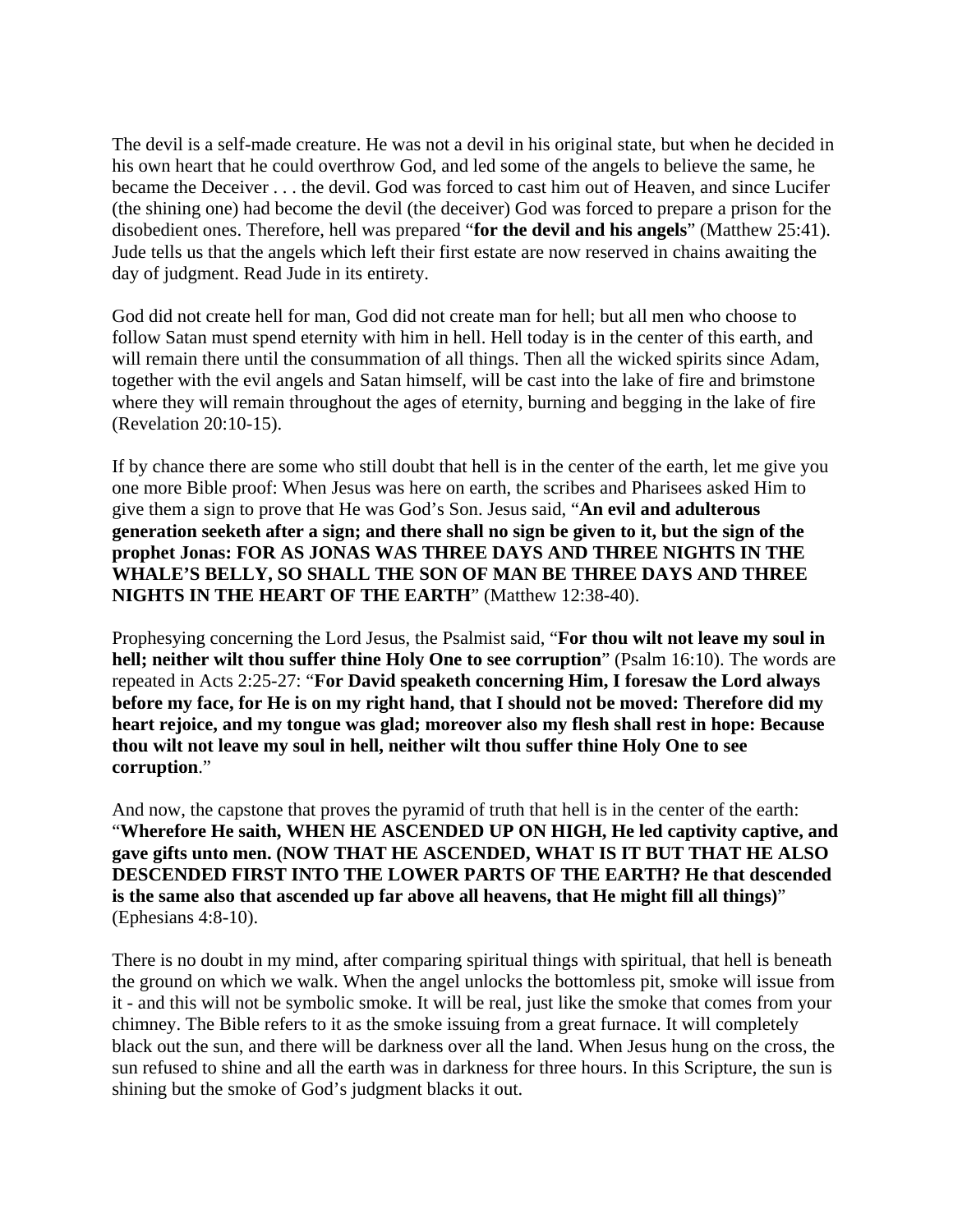The devil is a self-made creature. He was not a devil in his original state, but when he decided in his own heart that he could overthrow God, and led some of the angels to believe the same, he became the Deceiver . . . the devil. God was forced to cast him out of Heaven, and since Lucifer (the shining one) had become the devil (the deceiver) God was forced to prepare a prison for the disobedient ones. Therefore, hell was prepared "**for the devil and his angels**" (Matthew 25:41). Jude tells us that the angels which left their first estate are now reserved in chains awaiting the day of judgment. Read Jude in its entirety.

God did not create hell for man, God did not create man for hell; but all men who choose to follow Satan must spend eternity with him in hell. Hell today is in the center of this earth, and will remain there until the consummation of all things. Then all the wicked spirits since Adam, together with the evil angels and Satan himself, will be cast into the lake of fire and brimstone where they will remain throughout the ages of eternity, burning and begging in the lake of fire (Revelation 20:10-15).

If by chance there are some who still doubt that hell is in the center of the earth, let me give you one more Bible proof: When Jesus was here on earth, the scribes and Pharisees asked Him to give them a sign to prove that He was God's Son. Jesus said, "**An evil and adulterous generation seeketh after a sign; and there shall no sign be given to it, but the sign of the prophet Jonas: FOR AS JONAS WAS THREE DAYS AND THREE NIGHTS IN THE WHALE'S BELLY, SO SHALL THE SON OF MAN BE THREE DAYS AND THREE NIGHTS IN THE HEART OF THE EARTH**" (Matthew 12:38-40).

Prophesying concerning the Lord Jesus, the Psalmist said, "**For thou wilt not leave my soul in hell; neither wilt thou suffer thine Holy One to see corruption**" (Psalm 16:10). The words are repeated in Acts 2:25-27: "**For David speaketh concerning Him, I foresaw the Lord always before my face, for He is on my right hand, that I should not be moved: Therefore did my heart rejoice, and my tongue was glad; moreover also my flesh shall rest in hope: Because thou wilt not leave my soul in hell, neither wilt thou suffer thine Holy One to see corruption**."

And now, the capstone that proves the pyramid of truth that hell is in the center of the earth: "**Wherefore He saith, WHEN HE ASCENDED UP ON HIGH, He led captivity captive, and gave gifts unto men. (NOW THAT HE ASCENDED, WHAT IS IT BUT THAT HE ALSO DESCENDED FIRST INTO THE LOWER PARTS OF THE EARTH? He that descended is the same also that ascended up far above all heavens, that He might fill all things)**" (Ephesians 4:8-10).

There is no doubt in my mind, after comparing spiritual things with spiritual, that hell is beneath the ground on which we walk. When the angel unlocks the bottomless pit, smoke will issue from it - and this will not be symbolic smoke. It will be real, just like the smoke that comes from your chimney. The Bible refers to it as the smoke issuing from a great furnace. It will completely black out the sun, and there will be darkness over all the land. When Jesus hung on the cross, the sun refused to shine and all the earth was in darkness for three hours. In this Scripture, the sun is shining but the smoke of God's judgment blacks it out.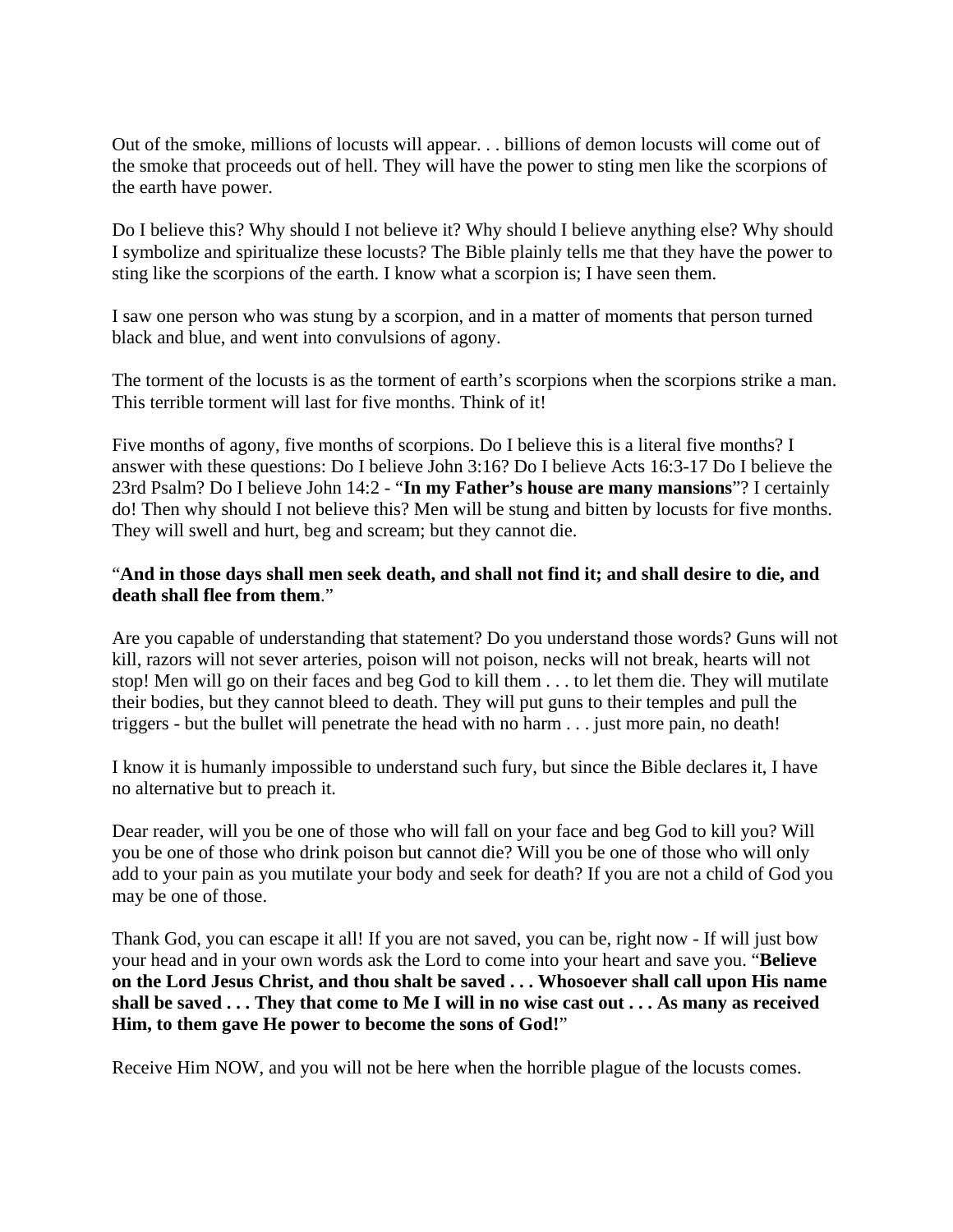Out of the smoke, millions of locusts will appear. . . billions of demon locusts will come out of the smoke that proceeds out of hell. They will have the power to sting men like the scorpions of the earth have power.

Do I believe this? Why should I not believe it? Why should I believe anything else? Why should I symbolize and spiritualize these locusts? The Bible plainly tells me that they have the power to sting like the scorpions of the earth. I know what a scorpion is; I have seen them.

I saw one person who was stung by a scorpion, and in a matter of moments that person turned black and blue, and went into convulsions of agony.

The torment of the locusts is as the torment of earth's scorpions when the scorpions strike a man. This terrible torment will last for five months. Think of it!

Five months of agony, five months of scorpions. Do I believe this is a literal five months? I answer with these questions: Do I believe John 3:16? Do I believe Acts 16:3-17 Do I believe the 23rd Psalm? Do I believe John 14:2 - "**In my Father's house are many mansions**"? I certainly do! Then why should I not believe this? Men will be stung and bitten by locusts for five months. They will swell and hurt, beg and scream; but they cannot die.

### "**And in those days shall men seek death, and shall not find it; and shall desire to die, and death shall flee from them**."

Are you capable of understanding that statement? Do you understand those words? Guns will not kill, razors will not sever arteries, poison will not poison, necks will not break, hearts will not stop! Men will go on their faces and beg God to kill them . . . to let them die. They will mutilate their bodies, but they cannot bleed to death. They will put guns to their temples and pull the triggers - but the bullet will penetrate the head with no harm . . . just more pain, no death!

I know it is humanly impossible to understand such fury, but since the Bible declares it, I have no alternative but to preach it.

Dear reader, will you be one of those who will fall on your face and beg God to kill you? Will you be one of those who drink poison but cannot die? Will you be one of those who will only add to your pain as you mutilate your body and seek for death? If you are not a child of God you may be one of those.

Thank God, you can escape it all! If you are not saved, you can be, right now - If will just bow your head and in your own words ask the Lord to come into your heart and save you. "**Believe on the Lord Jesus Christ, and thou shalt be saved . . . Whosoever shall call upon His name shall be saved . . . They that come to Me I will in no wise cast out . . . As many as received Him, to them gave He power to become the sons of God!**"

Receive Him NOW, and you will not be here when the horrible plague of the locusts comes.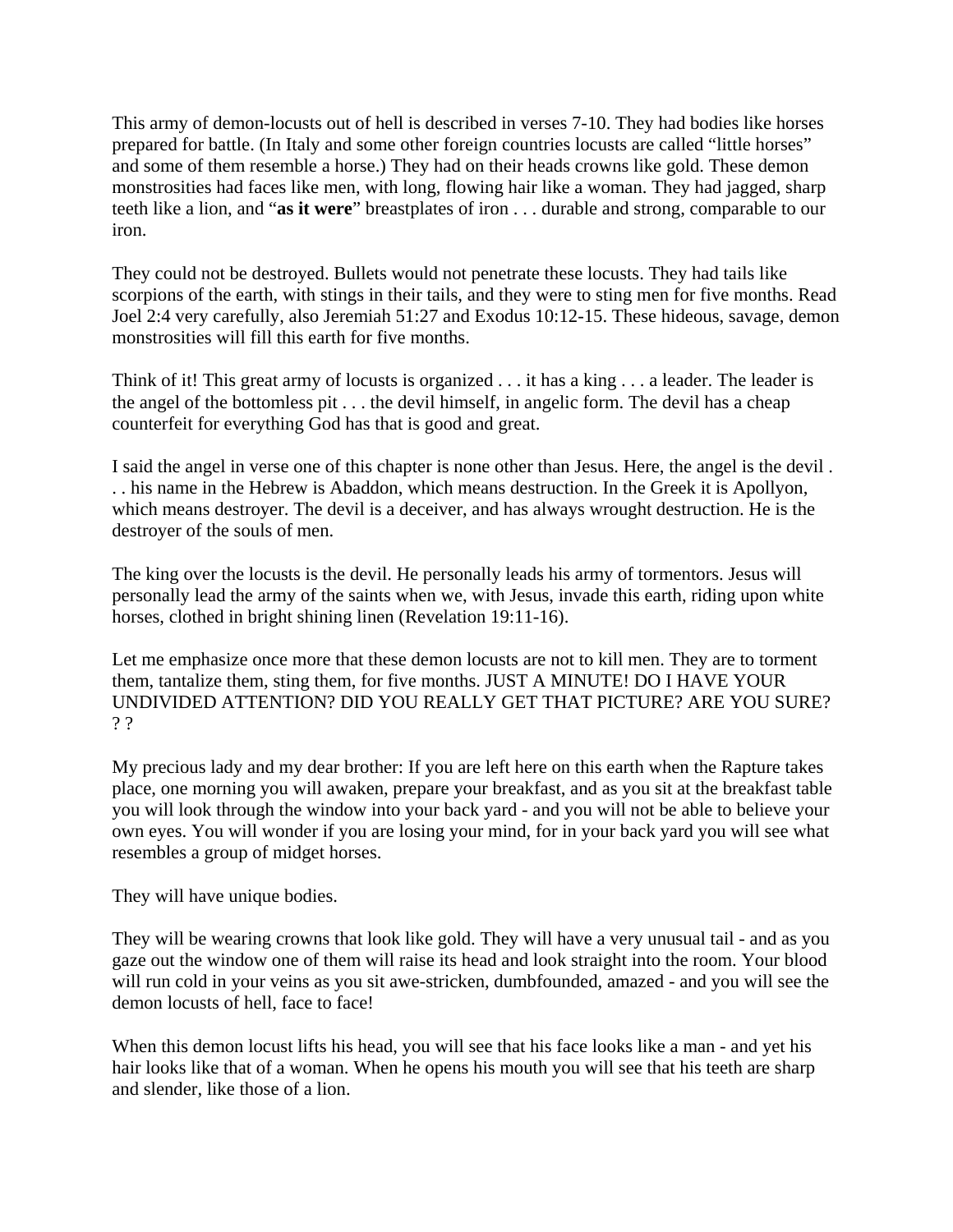This army of demon-locusts out of hell is described in verses 7-10. They had bodies like horses prepared for battle. (In Italy and some other foreign countries locusts are called "little horses" and some of them resemble a horse.) They had on their heads crowns like gold. These demon monstrosities had faces like men, with long, flowing hair like a woman. They had jagged, sharp teeth like a lion, and "**as it were**" breastplates of iron . . . durable and strong, comparable to our iron.

They could not be destroyed. Bullets would not penetrate these locusts. They had tails like scorpions of the earth, with stings in their tails, and they were to sting men for five months. Read Joel 2:4 very carefully, also Jeremiah 51:27 and Exodus 10:12-15. These hideous, savage, demon monstrosities will fill this earth for five months.

Think of it! This great army of locusts is organized . . . it has a king . . . a leader. The leader is the angel of the bottomless pit . . . the devil himself, in angelic form. The devil has a cheap counterfeit for everything God has that is good and great.

I said the angel in verse one of this chapter is none other than Jesus. Here, the angel is the devil . . . his name in the Hebrew is Abaddon, which means destruction. In the Greek it is Apollyon, which means destroyer. The devil is a deceiver, and has always wrought destruction. He is the destroyer of the souls of men.

The king over the locusts is the devil. He personally leads his army of tormentors. Jesus will personally lead the army of the saints when we, with Jesus, invade this earth, riding upon white horses, clothed in bright shining linen (Revelation 19:11-16).

Let me emphasize once more that these demon locusts are not to kill men. They are to torment them, tantalize them, sting them, for five months. JUST A MINUTE! DO I HAVE YOUR UNDIVIDED ATTENTION? DID YOU REALLY GET THAT PICTURE? ARE YOU SURE? ? ?

My precious lady and my dear brother: If you are left here on this earth when the Rapture takes place, one morning you will awaken, prepare your breakfast, and as you sit at the breakfast table you will look through the window into your back yard - and you will not be able to believe your own eyes. You will wonder if you are losing your mind, for in your back yard you will see what resembles a group of midget horses.

They will have unique bodies.

They will be wearing crowns that look like gold. They will have a very unusual tail - and as you gaze out the window one of them will raise its head and look straight into the room. Your blood will run cold in your veins as you sit awe-stricken, dumbfounded, amazed - and you will see the demon locusts of hell, face to face!

When this demon locust lifts his head, you will see that his face looks like a man - and yet his hair looks like that of a woman. When he opens his mouth you will see that his teeth are sharp and slender, like those of a lion.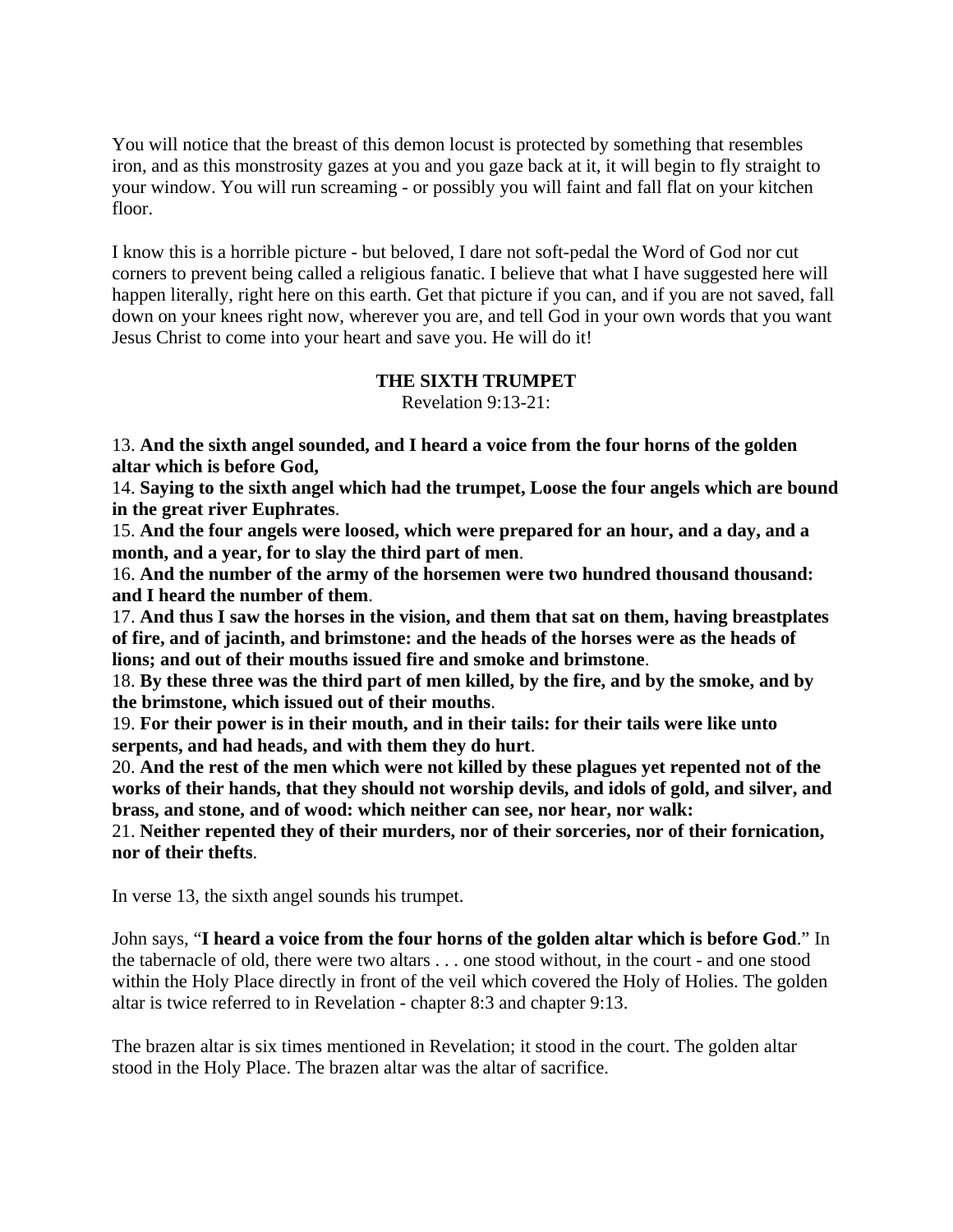You will notice that the breast of this demon locust is protected by something that resembles iron, and as this monstrosity gazes at you and you gaze back at it, it will begin to fly straight to your window. You will run screaming - or possibly you will faint and fall flat on your kitchen floor.

I know this is a horrible picture - but beloved, I dare not soft-pedal the Word of God nor cut corners to prevent being called a religious fanatic. I believe that what I have suggested here will happen literally, right here on this earth. Get that picture if you can, and if you are not saved, fall down on your knees right now, wherever you are, and tell God in your own words that you want Jesus Christ to come into your heart and save you. He will do it!

#### **THE SIXTH TRUMPET**

Revelation 9:13-21:

13. **And the sixth angel sounded, and I heard a voice from the four horns of the golden altar which is before God,**

14. **Saying to the sixth angel which had the trumpet, Loose the four angels which are bound in the great river Euphrates**.

15. **And the four angels were loosed, which were prepared for an hour, and a day, and a month, and a year, for to slay the third part of men**.

16. **And the number of the army of the horsemen were two hundred thousand thousand: and I heard the number of them**.

17. **And thus I saw the horses in the vision, and them that sat on them, having breastplates of fire, and of jacinth, and brimstone: and the heads of the horses were as the heads of lions; and out of their mouths issued fire and smoke and brimstone**.

18. **By these three was the third part of men killed, by the fire, and by the smoke, and by the brimstone, which issued out of their mouths**.

19. **For their power is in their mouth, and in their tails: for their tails were like unto serpents, and had heads, and with them they do hurt**.

20. **And the rest of the men which were not killed by these plagues yet repented not of the works of their hands, that they should not worship devils, and idols of gold, and silver, and brass, and stone, and of wood: which neither can see, nor hear, nor walk:**

21. **Neither repented they of their murders, nor of their sorceries, nor of their fornication, nor of their thefts**.

In verse 13, the sixth angel sounds his trumpet.

John says, "**I heard a voice from the four horns of the golden altar which is before God**." In the tabernacle of old, there were two altars . . . one stood without, in the court - and one stood within the Holy Place directly in front of the veil which covered the Holy of Holies. The golden altar is twice referred to in Revelation - chapter 8:3 and chapter 9:13.

The brazen altar is six times mentioned in Revelation; it stood in the court. The golden altar stood in the Holy Place. The brazen altar was the altar of sacrifice.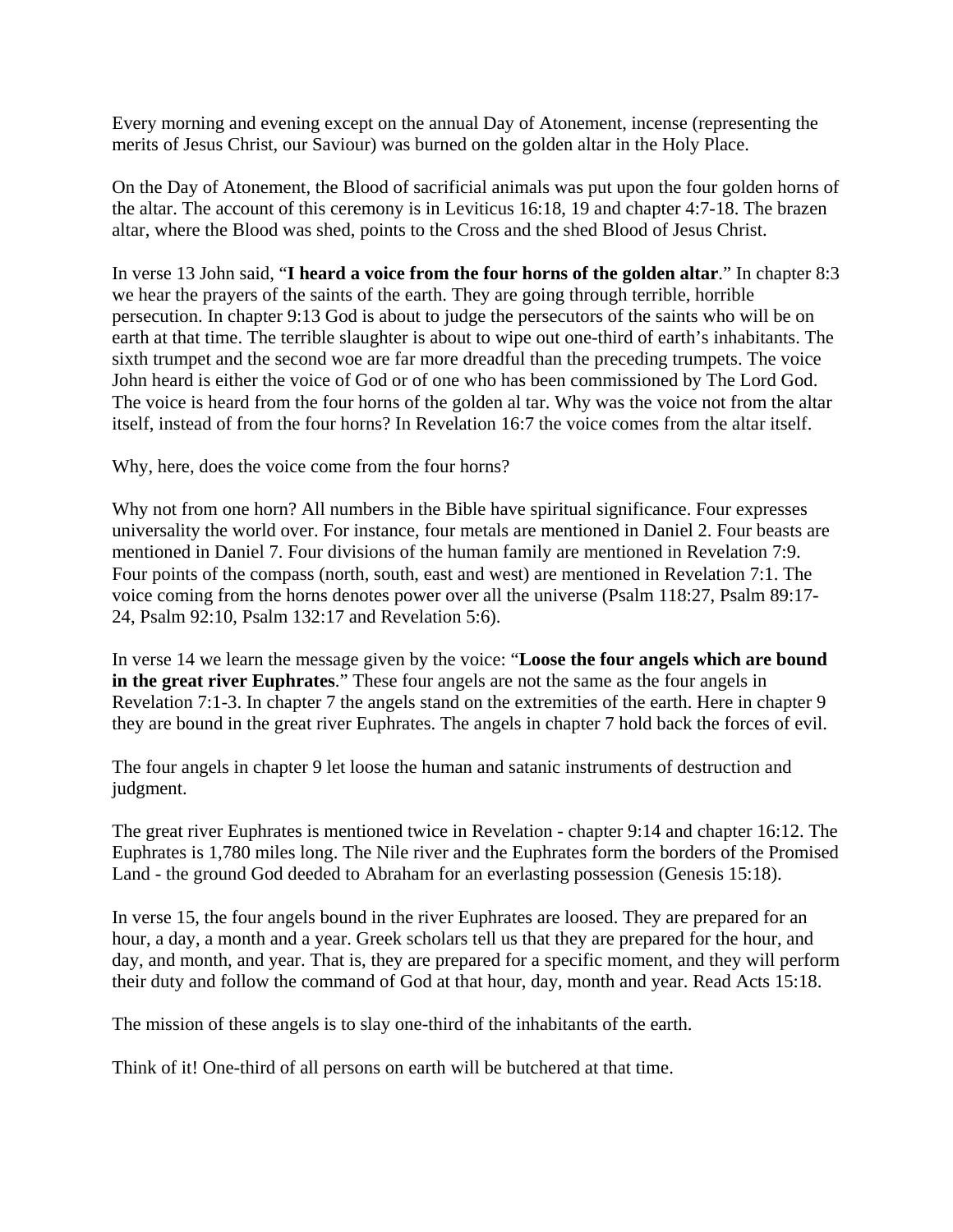Every morning and evening except on the annual Day of Atonement, incense (representing the merits of Jesus Christ, our Saviour) was burned on the golden altar in the Holy Place.

On the Day of Atonement, the Blood of sacrificial animals was put upon the four golden horns of the altar. The account of this ceremony is in Leviticus 16:18, 19 and chapter 4:7-18. The brazen altar, where the Blood was shed, points to the Cross and the shed Blood of Jesus Christ.

In verse 13 John said, "**I heard a voice from the four horns of the golden altar**." In chapter 8:3 we hear the prayers of the saints of the earth. They are going through terrible, horrible persecution. In chapter 9:13 God is about to judge the persecutors of the saints who will be on earth at that time. The terrible slaughter is about to wipe out one-third of earth's inhabitants. The sixth trumpet and the second woe are far more dreadful than the preceding trumpets. The voice John heard is either the voice of God or of one who has been commissioned by The Lord God. The voice is heard from the four horns of the golden al tar. Why was the voice not from the altar itself, instead of from the four horns? In Revelation 16:7 the voice comes from the altar itself.

Why, here, does the voice come from the four horns?

Why not from one horn? All numbers in the Bible have spiritual significance. Four expresses universality the world over. For instance, four metals are mentioned in Daniel 2. Four beasts are mentioned in Daniel 7. Four divisions of the human family are mentioned in Revelation 7:9. Four points of the compass (north, south, east and west) are mentioned in Revelation 7:1. The voice coming from the horns denotes power over all the universe (Psalm 118:27, Psalm 89:17- 24, Psalm 92:10, Psalm 132:17 and Revelation 5:6).

In verse 14 we learn the message given by the voice: "**Loose the four angels which are bound in the great river Euphrates**." These four angels are not the same as the four angels in Revelation 7:1-3. In chapter 7 the angels stand on the extremities of the earth. Here in chapter 9 they are bound in the great river Euphrates. The angels in chapter 7 hold back the forces of evil.

The four angels in chapter 9 let loose the human and satanic instruments of destruction and judgment.

The great river Euphrates is mentioned twice in Revelation - chapter 9:14 and chapter 16:12. The Euphrates is 1,780 miles long. The Nile river and the Euphrates form the borders of the Promised Land - the ground God deeded to Abraham for an everlasting possession (Genesis 15:18).

In verse 15, the four angels bound in the river Euphrates are loosed. They are prepared for an hour, a day, a month and a year. Greek scholars tell us that they are prepared for the hour, and day, and month, and year. That is, they are prepared for a specific moment, and they will perform their duty and follow the command of God at that hour, day, month and year. Read Acts 15:18.

The mission of these angels is to slay one-third of the inhabitants of the earth.

Think of it! One-third of all persons on earth will be butchered at that time.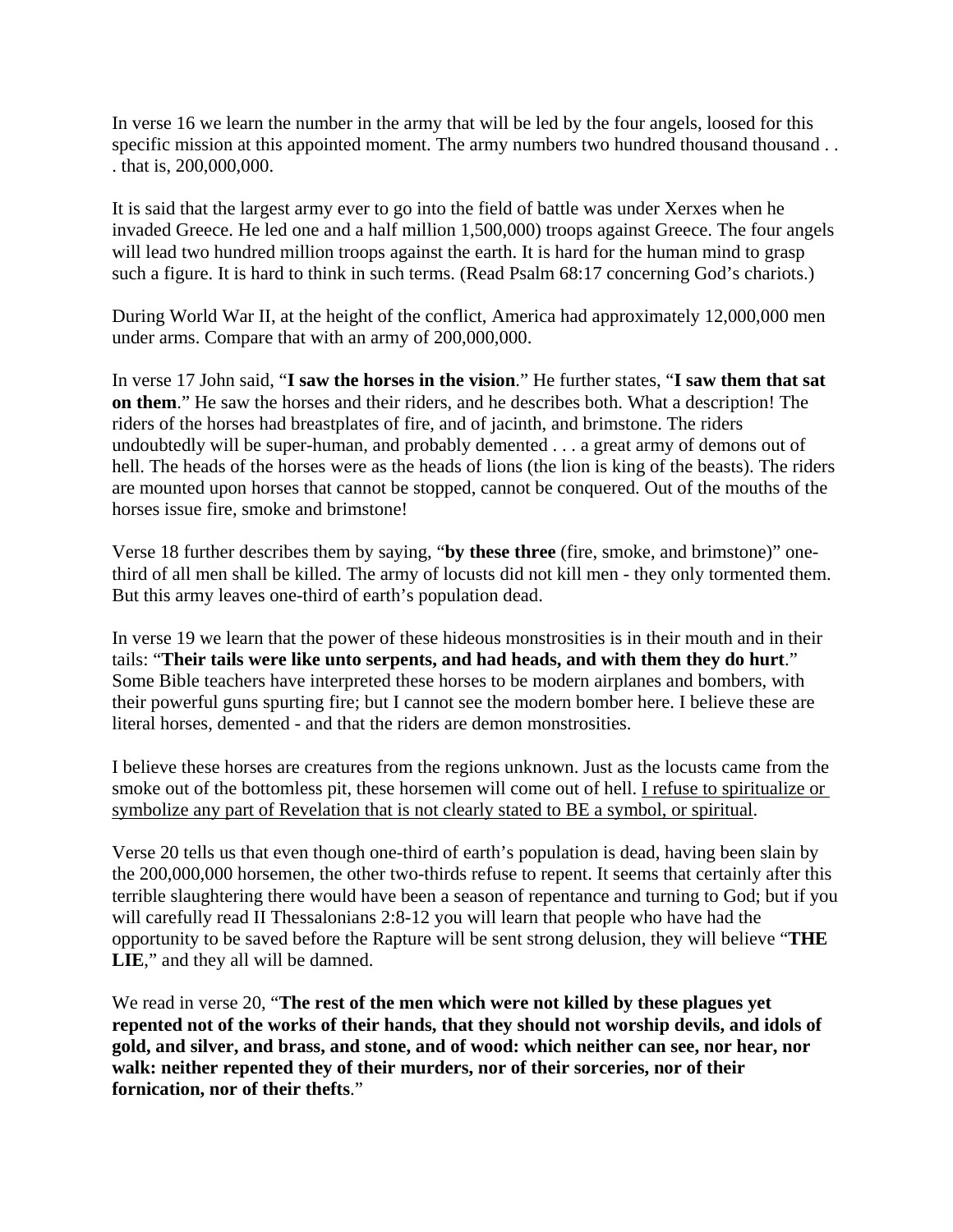In verse 16 we learn the number in the army that will be led by the four angels, loosed for this specific mission at this appointed moment. The army numbers two hundred thousand thousand . . . that is, 200,000,000.

It is said that the largest army ever to go into the field of battle was under Xerxes when he invaded Greece. He led one and a half million 1,500,000) troops against Greece. The four angels will lead two hundred million troops against the earth. It is hard for the human mind to grasp such a figure. It is hard to think in such terms. (Read Psalm 68:17 concerning God's chariots.)

During World War II, at the height of the conflict, America had approximately 12,000,000 men under arms. Compare that with an army of 200,000,000.

In verse 17 John said, "**I saw the horses in the vision**." He further states, "**I saw them that sat on them**." He saw the horses and their riders, and he describes both. What a description! The riders of the horses had breastplates of fire, and of jacinth, and brimstone. The riders undoubtedly will be super-human, and probably demented . . . a great army of demons out of hell. The heads of the horses were as the heads of lions (the lion is king of the beasts). The riders are mounted upon horses that cannot be stopped, cannot be conquered. Out of the mouths of the horses issue fire, smoke and brimstone!

Verse 18 further describes them by saying, "**by these three** (fire, smoke, and brimstone)" onethird of all men shall be killed. The army of locusts did not kill men - they only tormented them. But this army leaves one-third of earth's population dead.

In verse 19 we learn that the power of these hideous monstrosities is in their mouth and in their tails: "**Their tails were like unto serpents, and had heads, and with them they do hurt**." Some Bible teachers have interpreted these horses to be modern airplanes and bombers, with their powerful guns spurting fire; but I cannot see the modern bomber here. I believe these are literal horses, demented - and that the riders are demon monstrosities.

I believe these horses are creatures from the regions unknown. Just as the locusts came from the smoke out of the bottomless pit, these horsemen will come out of hell. I refuse to spiritualize or symbolize any part of Revelation that is not clearly stated to BE a symbol, or spiritual.

Verse 20 tells us that even though one-third of earth's population is dead, having been slain by the 200,000,000 horsemen, the other two-thirds refuse to repent. It seems that certainly after this terrible slaughtering there would have been a season of repentance and turning to God; but if you will carefully read II Thessalonians 2:8-12 you will learn that people who have had the opportunity to be saved before the Rapture will be sent strong delusion, they will believe "**THE**  LIE," and they all will be damned.

We read in verse 20, "**The rest of the men which were not killed by these plagues yet repented not of the works of their hands, that they should not worship devils, and idols of gold, and silver, and brass, and stone, and of wood: which neither can see, nor hear, nor walk: neither repented they of their murders, nor of their sorceries, nor of their fornication, nor of their thefts**."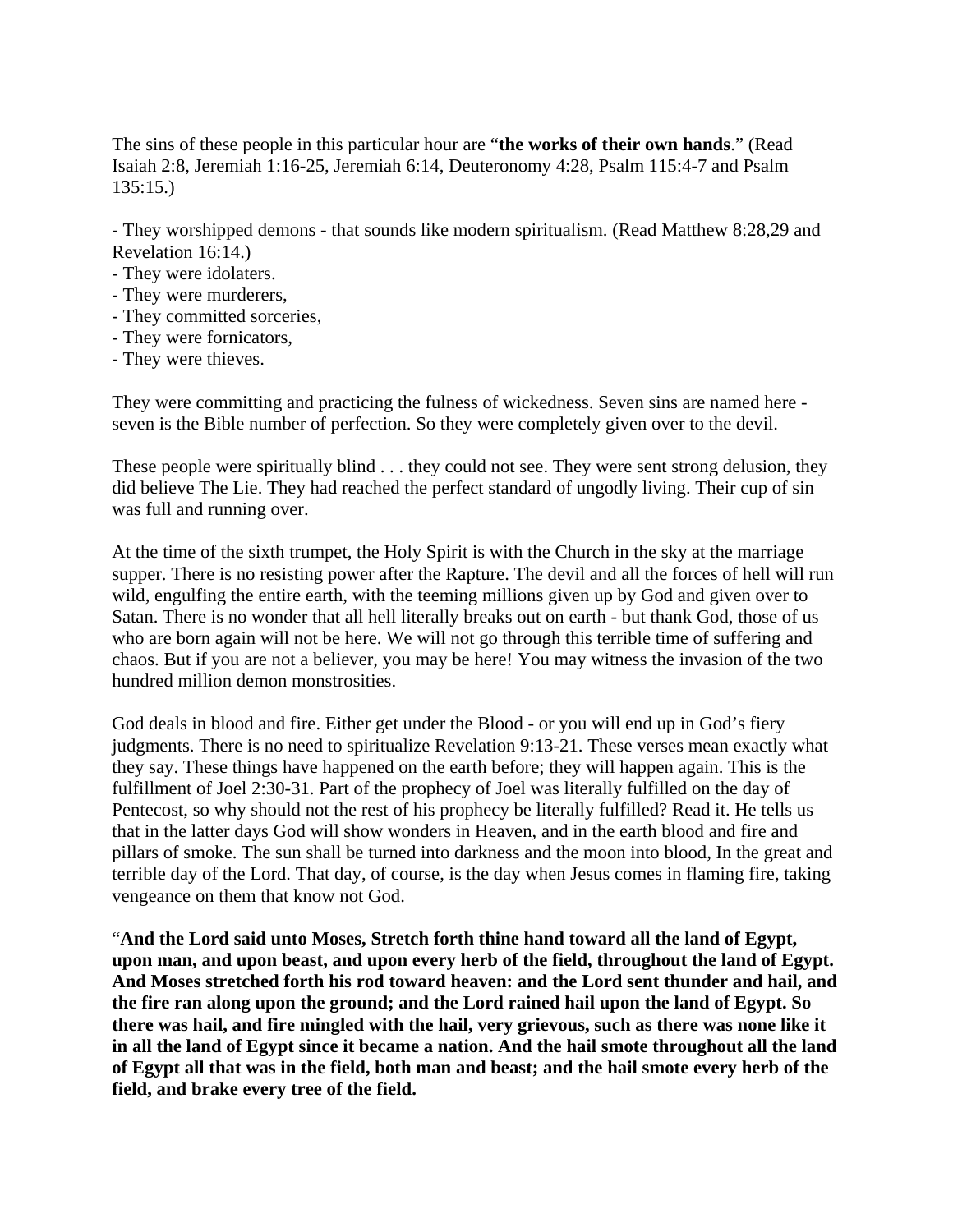The sins of these people in this particular hour are "**the works of their own hands**." (Read Isaiah 2:8, Jeremiah 1:16-25, Jeremiah 6:14, Deuteronomy 4:28, Psalm 115:4-7 and Psalm 135:15.)

- They worshipped demons - that sounds like modern spiritualism. (Read Matthew 8:28,29 and Revelation 16:14.)

- They were idolaters.
- They were murderers,
- They committed sorceries,
- They were fornicators,
- They were thieves.

They were committing and practicing the fulness of wickedness. Seven sins are named here seven is the Bible number of perfection. So they were completely given over to the devil.

These people were spiritually blind . . . they could not see. They were sent strong delusion, they did believe The Lie. They had reached the perfect standard of ungodly living. Their cup of sin was full and running over.

At the time of the sixth trumpet, the Holy Spirit is with the Church in the sky at the marriage supper. There is no resisting power after the Rapture. The devil and all the forces of hell will run wild, engulfing the entire earth, with the teeming millions given up by God and given over to Satan. There is no wonder that all hell literally breaks out on earth - but thank God, those of us who are born again will not be here. We will not go through this terrible time of suffering and chaos. But if you are not a believer, you may be here! You may witness the invasion of the two hundred million demon monstrosities.

God deals in blood and fire. Either get under the Blood - or you will end up in God's fiery judgments. There is no need to spiritualize Revelation 9:13-21. These verses mean exactly what they say. These things have happened on the earth before; they will happen again. This is the fulfillment of Joel 2:30-31. Part of the prophecy of Joel was literally fulfilled on the day of Pentecost, so why should not the rest of his prophecy be literally fulfilled? Read it. He tells us that in the latter days God will show wonders in Heaven, and in the earth blood and fire and pillars of smoke. The sun shall be turned into darkness and the moon into blood, In the great and terrible day of the Lord. That day, of course, is the day when Jesus comes in flaming fire, taking vengeance on them that know not God.

"**And the Lord said unto Moses, Stretch forth thine hand toward all the land of Egypt, upon man, and upon beast, and upon every herb of the field, throughout the land of Egypt. And Moses stretched forth his rod toward heaven: and the Lord sent thunder and hail, and the fire ran along upon the ground; and the Lord rained hail upon the land of Egypt. So there was hail, and fire mingled with the hail, very grievous, such as there was none like it in all the land of Egypt since it became a nation. And the hail smote throughout all the land of Egypt all that was in the field, both man and beast; and the hail smote every herb of the field, and brake every tree of the field.**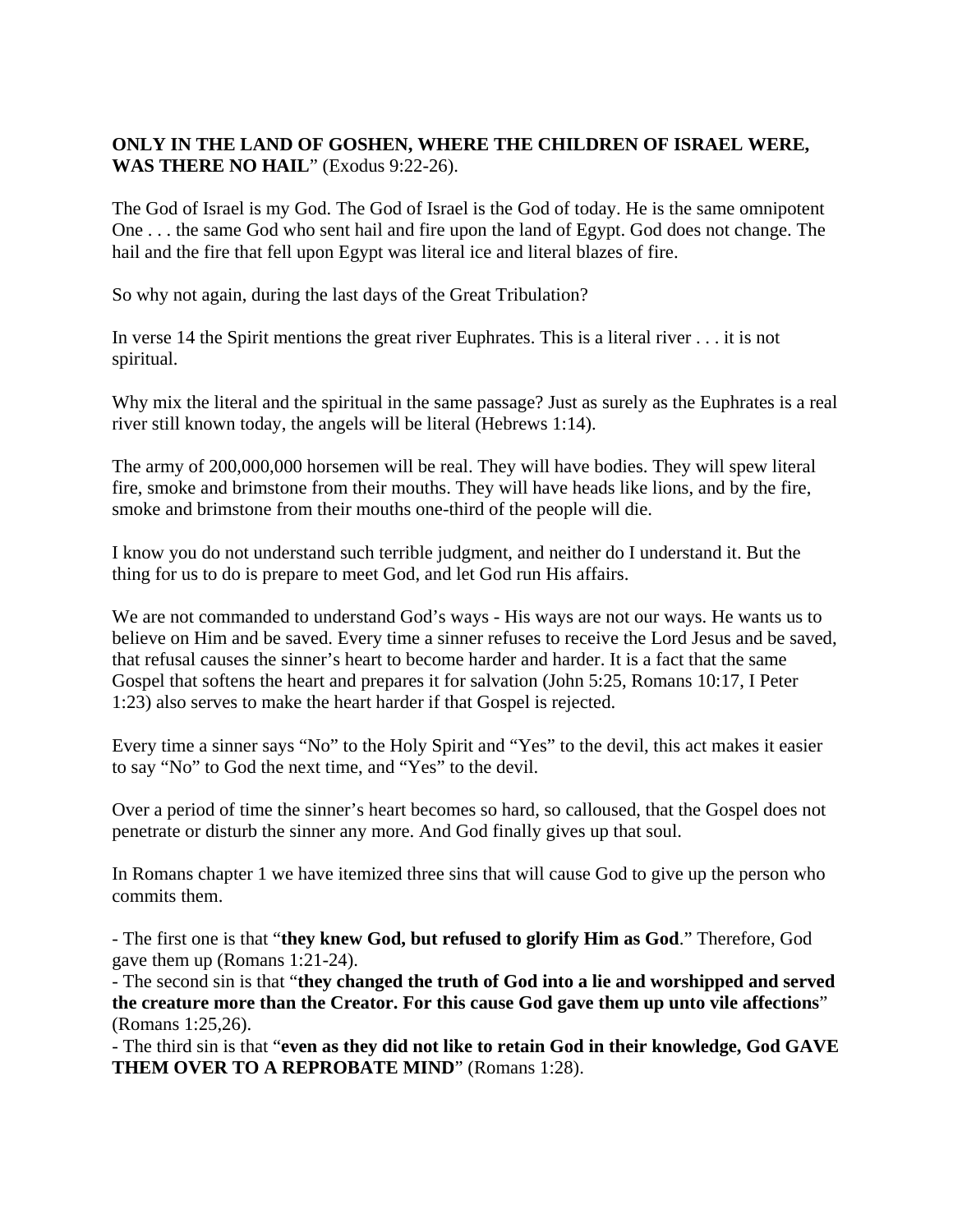## **ONLY IN THE LAND OF GOSHEN, WHERE THE CHILDREN OF ISRAEL WERE, WAS THERE NO HAIL**" (Exodus 9:22-26).

The God of Israel is my God. The God of Israel is the God of today. He is the same omnipotent One . . . the same God who sent hail and fire upon the land of Egypt. God does not change. The hail and the fire that fell upon Egypt was literal ice and literal blazes of fire.

So why not again, during the last days of the Great Tribulation?

In verse 14 the Spirit mentions the great river Euphrates. This is a literal river . . . it is not spiritual.

Why mix the literal and the spiritual in the same passage? Just as surely as the Euphrates is a real river still known today, the angels will be literal (Hebrews 1:14).

The army of 200,000,000 horsemen will be real. They will have bodies. They will spew literal fire, smoke and brimstone from their mouths. They will have heads like lions, and by the fire, smoke and brimstone from their mouths one-third of the people will die.

I know you do not understand such terrible judgment, and neither do I understand it. But the thing for us to do is prepare to meet God, and let God run His affairs.

We are not commanded to understand God's ways - His ways are not our ways. He wants us to believe on Him and be saved. Every time a sinner refuses to receive the Lord Jesus and be saved, that refusal causes the sinner's heart to become harder and harder. It is a fact that the same Gospel that softens the heart and prepares it for salvation (John 5:25, Romans 10:17, I Peter 1:23) also serves to make the heart harder if that Gospel is rejected.

Every time a sinner says "No" to the Holy Spirit and "Yes" to the devil, this act makes it easier to say "No" to God the next time, and "Yes" to the devil.

Over a period of time the sinner's heart becomes so hard, so calloused, that the Gospel does not penetrate or disturb the sinner any more. And God finally gives up that soul.

In Romans chapter 1 we have itemized three sins that will cause God to give up the person who commits them.

- The first one is that "**they knew God, but refused to glorify Him as God**." Therefore, God gave them up (Romans 1:21-24).

- The second sin is that "**they changed the truth of God into a lie and worshipped and served the creature more than the Creator. For this cause God gave them up unto vile affections**" (Romans 1:25,26).

- The third sin is that "**even as they did not like to retain God in their knowledge, God GAVE THEM OVER TO A REPROBATE MIND**" (Romans 1:28).